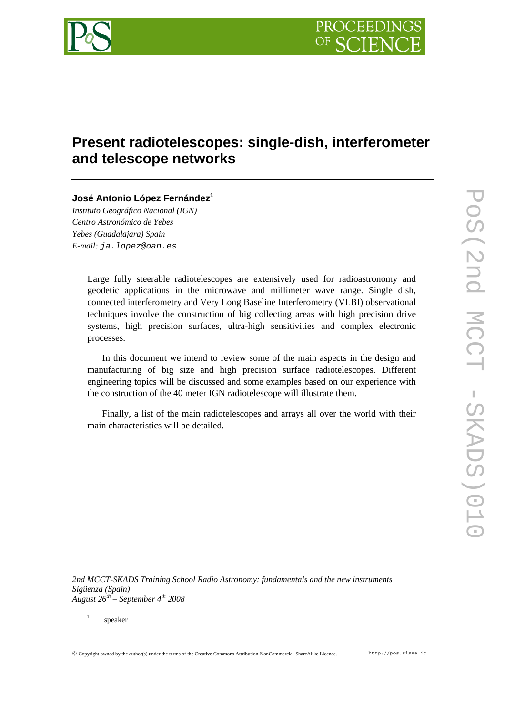

# **Present radiotelescopes: single-dish, interferometer and telescope networks**

# **José Antonio López Fernández<sup>1</sup>**

*Instituto Geográfico Nacional (IGN) Centro Astronómico de Yebes Yebes (Guadalajara) Spain E-mail: ja.lopez@oan.es* 

> Large fully steerable radiotelescopes are extensively used for radioastronomy and geodetic applications in the microwave and millimeter wave range. Single dish, connected interferometry and Very Long Baseline Interferometry (VLBI) observational techniques involve the construction of big collecting areas with high precision drive systems, high precision surfaces, ultra-high sensitivities and complex electronic processes.

> In this document we intend to review some of the main aspects in the design and manufacturing of big size and high precision surface radiotelescopes. Different engineering topics will be discussed and some examples based on our experience with the construction of the 40 meter IGN radiotelescope will illustrate them.

> Finally, a list of the main radiotelescopes and arrays all over the world with their main characteristics will be detailed.

*2nd MCCT-SKADS Training School Radio Astronomy: fundamentals and the new instruments Sigüenza (Spain) August 26th – September 4th 2008*

 $\overline{\phantom{0}}$ speaker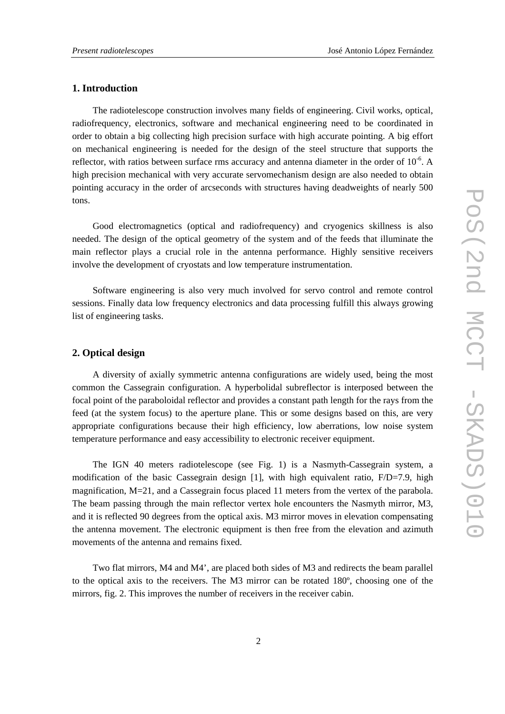#### **1. Introduction**

The radiotelescope construction involves many fields of engineering. Civil works, optical, radiofrequency, electronics, software and mechanical engineering need to be coordinated in order to obtain a big collecting high precision surface with high accurate pointing. A big effort on mechanical engineering is needed for the design of the steel structure that supports the reflector, with ratios between surface rms accuracy and antenna diameter in the order of  $10^{-6}$ . A high precision mechanical with very accurate servomechanism design are also needed to obtain pointing accuracy in the order of arcseconds with structures having deadweights of nearly 500 tons.

Good electromagnetics (optical and radiofrequency) and cryogenics skillness is also needed. The design of the optical geometry of the system and of the feeds that illuminate the main reflector plays a crucial role in the antenna performance. Highly sensitive receivers involve the development of cryostats and low temperature instrumentation.

Software engineering is also very much involved for servo control and remote control sessions. Finally data low frequency electronics and data processing fulfill this always growing list of engineering tasks.

## **2. Optical design**

A diversity of axially symmetric antenna configurations are widely used, being the most common the Cassegrain configuration. A hyperbolidal subreflector is interposed between the focal point of the paraboloidal reflector and provides a constant path length for the rays from the feed (at the system focus) to the aperture plane. This or some designs based on this, are very appropriate configurations because their high efficiency, low aberrations, low noise system temperature performance and easy accessibility to electronic receiver equipment.

The IGN 40 meters radiotelescope (see Fig. 1) is a Nasmyth-Cassegrain system, a modification of the basic Cassegrain design [1], with high equivalent ratio, F/D=7.9, high magnification, M=21, and a Cassegrain focus placed 11 meters from the vertex of the parabola. The beam passing through the main reflector vertex hole encounters the Nasmyth mirror, M3, and it is reflected 90 degrees from the optical axis. M3 mirror moves in elevation compensating the antenna movement. The electronic equipment is then free from the elevation and azimuth movements of the antenna and remains fixed.

Two flat mirrors, M4 and M4', are placed both sides of M3 and redirects the beam parallel to the optical axis to the receivers. The M3 mirror can be rotated 180º, choosing one of the mirrors, fig. 2. This improves the number of receivers in the receiver cabin.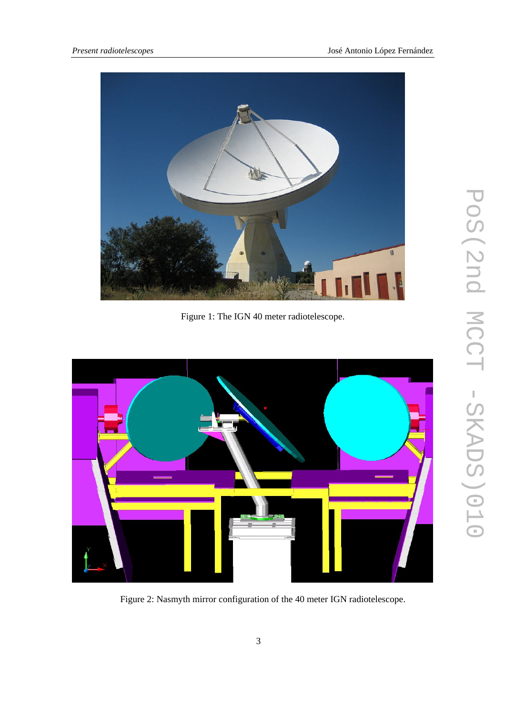

Figure 1: The IGN 40 meter radiotelescope.



Figure 2: Nasmyth mirror configuration of the 40 meter IGN radiotelescope.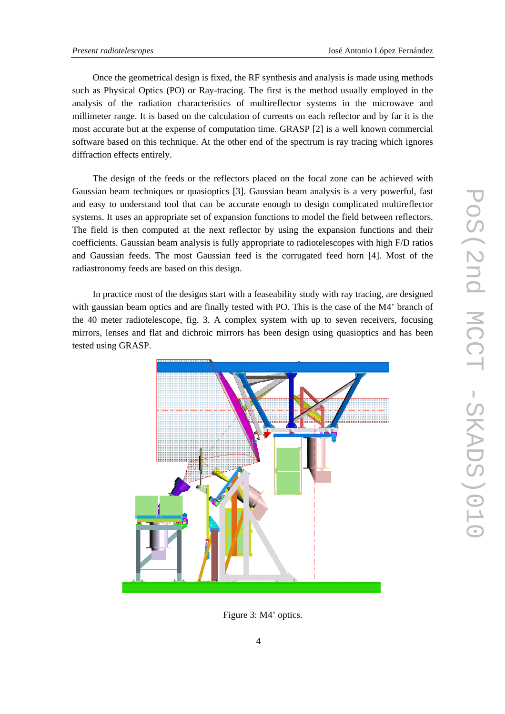Once the geometrical design is fixed, the RF synthesis and analysis is made using methods such as Physical Optics (PO) or Ray-tracing. The first is the method usually employed in the analysis of the radiation characteristics of multireflector systems in the microwave and millimeter range. It is based on the calculation of currents on each reflector and by far it is the most accurate but at the expense of computation time. GRASP [2] is a well known commercial software based on this technique. At the other end of the spectrum is ray tracing which ignores diffraction effects entirely.

The design of the feeds or the reflectors placed on the focal zone can be achieved with Gaussian beam techniques or quasioptics [3]. Gaussian beam analysis is a very powerful, fast and easy to understand tool that can be accurate enough to design complicated multireflector systems. It uses an appropriate set of expansion functions to model the field between reflectors. The field is then computed at the next reflector by using the expansion functions and their coefficients. Gaussian beam analysis is fully appropriate to radiotelescopes with high F/D ratios and Gaussian feeds. The most Gaussian feed is the corrugated feed horn [4]. Most of the radiastronomy feeds are based on this design.

In practice most of the designs start with a feaseability study with ray tracing, are designed with gaussian beam optics and are finally tested with PO. This is the case of the M4' branch of the 40 meter radiotelescope, fig. 3. A complex system with up to seven receivers, focusing mirrors, lenses and flat and dichroic mirrors has been design using quasioptics and has been tested using GRASP.



Figure 3: M4' optics.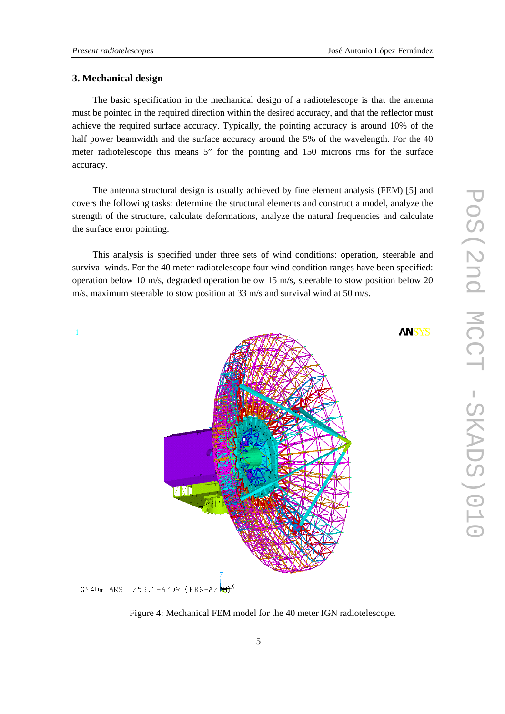### **3. Mechanical design**

The basic specification in the mechanical design of a radiotelescope is that the antenna must be pointed in the required direction within the desired accuracy, and that the reflector must achieve the required surface accuracy. Typically, the pointing accuracy is around 10% of the half power beamwidth and the surface accuracy around the 5% of the wavelength. For the 40 meter radiotelescope this means 5" for the pointing and 150 microns rms for the surface accuracy.

The antenna structural design is usually achieved by fine element analysis (FEM) [5] and covers the following tasks: determine the structural elements and construct a model, analyze the strength of the structure, calculate deformations, analyze the natural frequencies and calculate the surface error pointing.

This analysis is specified under three sets of wind conditions: operation, steerable and survival winds. For the 40 meter radiotelescope four wind condition ranges have been specified: operation below 10 m/s, degraded operation below 15 m/s, steerable to stow position below 20 m/s, maximum steerable to stow position at 33 m/s and survival wind at 50 m/s.



Figure 4: Mechanical FEM model for the 40 meter IGN radiotelescope.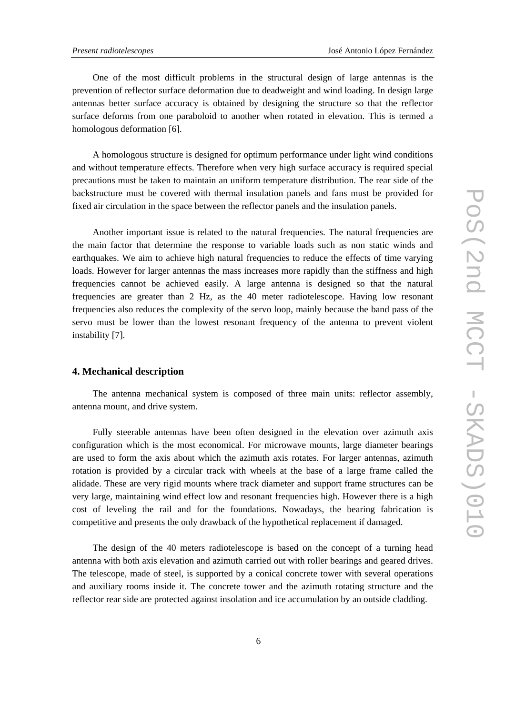One of the most difficult problems in the structural design of large antennas is the prevention of reflector surface deformation due to deadweight and wind loading. In design large antennas better surface accuracy is obtained by designing the structure so that the reflector surface deforms from one paraboloid to another when rotated in elevation. This is termed a homologous deformation [6].

A homologous structure is designed for optimum performance under light wind conditions and without temperature effects. Therefore when very high surface accuracy is required special precautions must be taken to maintain an uniform temperature distribution. The rear side of the backstructure must be covered with thermal insulation panels and fans must be provided for fixed air circulation in the space between the reflector panels and the insulation panels.

Another important issue is related to the natural frequencies. The natural frequencies are the main factor that determine the response to variable loads such as non static winds and earthquakes. We aim to achieve high natural frequencies to reduce the effects of time varying loads. However for larger antennas the mass increases more rapidly than the stiffness and high frequencies cannot be achieved easily. A large antenna is designed so that the natural frequencies are greater than 2 Hz, as the 40 meter radiotelescope. Having low resonant frequencies also reduces the complexity of the servo loop, mainly because the band pass of the servo must be lower than the lowest resonant frequency of the antenna to prevent violent instability [7].

## **4. Mechanical description**

The antenna mechanical system is composed of three main units: reflector assembly, antenna mount, and drive system.

Fully steerable antennas have been often designed in the elevation over azimuth axis configuration which is the most economical. For microwave mounts, large diameter bearings are used to form the axis about which the azimuth axis rotates. For larger antennas, azimuth rotation is provided by a circular track with wheels at the base of a large frame called the alidade. These are very rigid mounts where track diameter and support frame structures can be very large, maintaining wind effect low and resonant frequencies high. However there is a high cost of leveling the rail and for the foundations. Nowadays, the bearing fabrication is competitive and presents the only drawback of the hypothetical replacement if damaged.

The design of the 40 meters radiotelescope is based on the concept of a turning head antenna with both axis elevation and azimuth carried out with roller bearings and geared drives. The telescope, made of steel, is supported by a conical concrete tower with several operations and auxiliary rooms inside it. The concrete tower and the azimuth rotating structure and the reflector rear side are protected against insolation and ice accumulation by an outside cladding.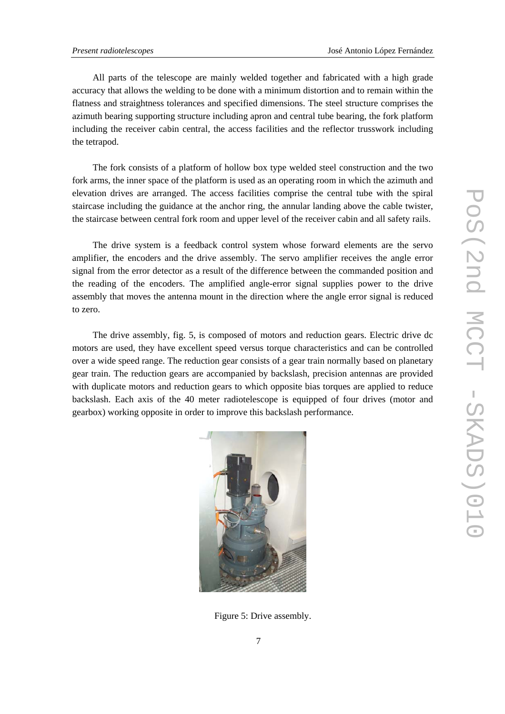All parts of the telescope are mainly welded together and fabricated with a high grade accuracy that allows the welding to be done with a minimum distortion and to remain within the flatness and straightness tolerances and specified dimensions. The steel structure comprises the azimuth bearing supporting structure including apron and central tube bearing, the fork platform including the receiver cabin central, the access facilities and the reflector trusswork including the tetrapod.

The fork consists of a platform of hollow box type welded steel construction and the two fork arms, the inner space of the platform is used as an operating room in which the azimuth and elevation drives are arranged. The access facilities comprise the central tube with the spiral staircase including the guidance at the anchor ring, the annular landing above the cable twister, the staircase between central fork room and upper level of the receiver cabin and all safety rails.

The drive system is a feedback control system whose forward elements are the servo amplifier, the encoders and the drive assembly. The servo amplifier receives the angle error signal from the error detector as a result of the difference between the commanded position and the reading of the encoders. The amplified angle-error signal supplies power to the drive assembly that moves the antenna mount in the direction where the angle error signal is reduced to zero.

The drive assembly, fig. 5, is composed of motors and reduction gears. Electric drive dc motors are used, they have excellent speed versus torque characteristics and can be controlled over a wide speed range. The reduction gear consists of a gear train normally based on planetary gear train. The reduction gears are accompanied by backslash, precision antennas are provided with duplicate motors and reduction gears to which opposite bias torques are applied to reduce backslash. Each axis of the 40 meter radiotelescope is equipped of four drives (motor and gearbox) working opposite in order to improve this backslash performance.



Figure 5: Drive assembly.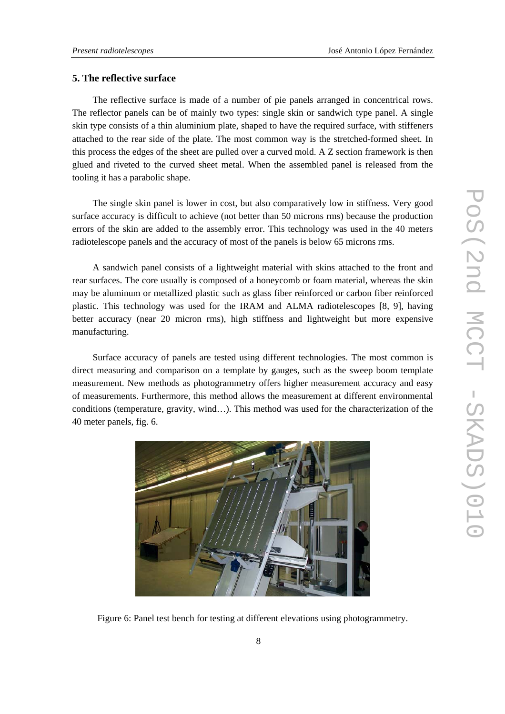## **5. The reflective surface**

The reflective surface is made of a number of pie panels arranged in concentrical rows. The reflector panels can be of mainly two types: single skin or sandwich type panel. A single skin type consists of a thin aluminium plate, shaped to have the required surface, with stiffeners attached to the rear side of the plate. The most common way is the stretched-formed sheet. In this process the edges of the sheet are pulled over a curved mold. A Z section framework is then glued and riveted to the curved sheet metal. When the assembled panel is released from the tooling it has a parabolic shape.

The single skin panel is lower in cost, but also comparatively low in stiffness. Very good surface accuracy is difficult to achieve (not better than 50 microns rms) because the production errors of the skin are added to the assembly error. This technology was used in the 40 meters radiotelescope panels and the accuracy of most of the panels is below 65 microns rms.

A sandwich panel consists of a lightweight material with skins attached to the front and rear surfaces. The core usually is composed of a honeycomb or foam material, whereas the skin may be aluminum or metallized plastic such as glass fiber reinforced or carbon fiber reinforced plastic. This technology was used for the IRAM and ALMA radiotelescopes [8, 9], having better accuracy (near 20 micron rms), high stiffness and lightweight but more expensive manufacturing.

Surface accuracy of panels are tested using different technologies. The most common is direct measuring and comparison on a template by gauges, such as the sweep boom template measurement. New methods as photogrammetry offers higher measurement accuracy and easy of measurements. Furthermore, this method allows the measurement at different environmental conditions (temperature, gravity, wind…). This method was used for the characterization of the 40 meter panels, fig. 6.



Figure 6: Panel test bench for testing at different elevations using photogrammetry.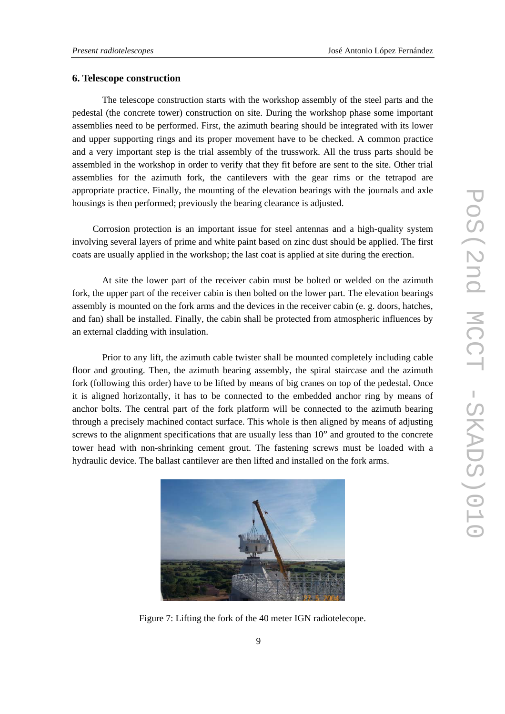#### **6. Telescope construction**

 The telescope construction starts with the workshop assembly of the steel parts and the pedestal (the concrete tower) construction on site. During the workshop phase some important assemblies need to be performed. First, the azimuth bearing should be integrated with its lower and upper supporting rings and its proper movement have to be checked. A common practice and a very important step is the trial assembly of the trusswork. All the truss parts should be assembled in the workshop in order to verify that they fit before are sent to the site. Other trial assemblies for the azimuth fork, the cantilevers with the gear rims or the tetrapod are appropriate practice. Finally, the mounting of the elevation bearings with the journals and axle housings is then performed; previously the bearing clearance is adjusted.

Corrosion protection is an important issue for steel antennas and a high-quality system involving several layers of prime and white paint based on zinc dust should be applied. The first coats are usually applied in the workshop; the last coat is applied at site during the erection.

 At site the lower part of the receiver cabin must be bolted or welded on the azimuth fork, the upper part of the receiver cabin is then bolted on the lower part. The elevation bearings assembly is mounted on the fork arms and the devices in the receiver cabin (e. g. doors, hatches, and fan) shall be installed. Finally, the cabin shall be protected from atmospheric influences by an external cladding with insulation.

 Prior to any lift, the azimuth cable twister shall be mounted completely including cable floor and grouting. Then, the azimuth bearing assembly, the spiral staircase and the azimuth fork (following this order) have to be lifted by means of big cranes on top of the pedestal. Once it is aligned horizontally, it has to be connected to the embedded anchor ring by means of anchor bolts. The central part of the fork platform will be connected to the azimuth bearing through a precisely machined contact surface. This whole is then aligned by means of adjusting screws to the alignment specifications that are usually less than 10" and grouted to the concrete tower head with non-shrinking cement grout. The fastening screws must be loaded with a hydraulic device. The ballast cantilever are then lifted and installed on the fork arms.



Figure 7: Lifting the fork of the 40 meter IGN radiotelecope.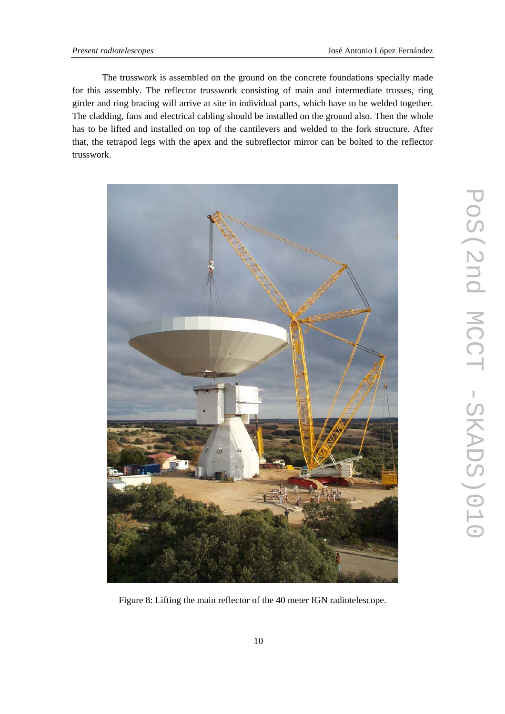The trusswork is assembled on the ground on the concrete foundations specially made for this assembly. The reflector trusswork consisting of main and intermediate trusses, ring girder and ring bracing will arrive at site in individual parts, which have to be welded together. The cladding, fans and electrical cabling should be installed on the ground also. Then the whole has to be lifted and installed on top of the cantilevers and welded to the fork structure. After that, the tetrapod legs with the apex and the subreflector mirror can be bolted to the reflector trusswork.



Figure 8: Lifting the main reflector of the 40 meter IGN radiotelescope.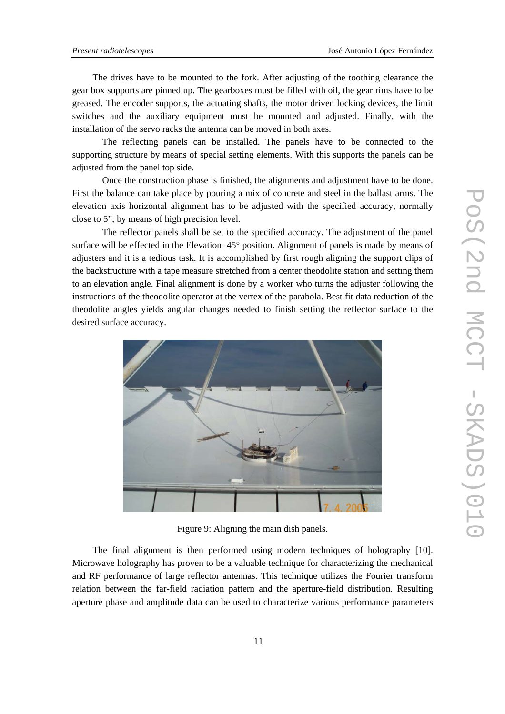The drives have to be mounted to the fork. After adjusting of the toothing clearance the gear box supports are pinned up. The gearboxes must be filled with oil, the gear rims have to be greased. The encoder supports, the actuating shafts, the motor driven locking devices, the limit switches and the auxiliary equipment must be mounted and adjusted. Finally, with the installation of the servo racks the antenna can be moved in both axes.

 The reflecting panels can be installed. The panels have to be connected to the supporting structure by means of special setting elements. With this supports the panels can be adjusted from the panel top side.

 Once the construction phase is finished, the alignments and adjustment have to be done. First the balance can take place by pouring a mix of concrete and steel in the ballast arms. The elevation axis horizontal alignment has to be adjusted with the specified accuracy, normally close to 5", by means of high precision level.

 The reflector panels shall be set to the specified accuracy. The adjustment of the panel surface will be effected in the Elevation=45° position. Alignment of panels is made by means of adjusters and it is a tedious task. It is accomplished by first rough aligning the support clips of the backstructure with a tape measure stretched from a center theodolite station and setting them to an elevation angle. Final alignment is done by a worker who turns the adjuster following the instructions of the theodolite operator at the vertex of the parabola. Best fit data reduction of the theodolite angles yields angular changes needed to finish setting the reflector surface to the desired surface accuracy.



Figure 9: Aligning the main dish panels.

The final alignment is then performed using modern techniques of holography [10]. Microwave holography has proven to be a valuable technique for characterizing the mechanical and RF performance of large reflector antennas. This technique utilizes the Fourier transform relation between the far-field radiation pattern and the aperture-field distribution. Resulting aperture phase and amplitude data can be used to characterize various performance parameters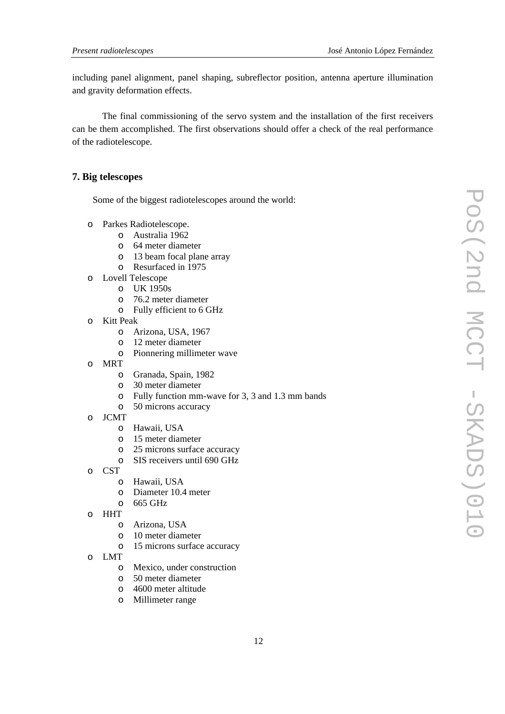including panel alignment, panel shaping, subreflector position, antenna aperture illumination and gravity deformation effects.

 The final commissioning of the servo system and the installation of the first receivers can be them accomplished. The first observations should offer a check of the real performance of the radiotelescope.

#### **7. Big telescopes**

Some of the biggest radiotelescopes around the world:

- o Parkes Radiotelescope.
	- o Australia 1962
	- o 64 meter diameter
	- o 13 beam focal plane array
	- o Resurfaced in 1975
- o Lovell Telescope
	- o UK 1950s
	- o 76.2 meter diameter
	- o Fully efficient to 6 GHz
- o Kitt Peak
	- o Arizona, USA, 1967
	- o 12 meter diameter
	- o Pionnering millimeter wave
- o MRT
	- o Granada, Spain, 1982
	- o 30 meter diameter
	- o Fully function mm-wave for 3, 3 and 1.3 mm bands
	- o 50 microns accuracy
- o JCMT
	- o Hawaii, USA
	- o 15 meter diameter
	- o 25 microns surface accuracy
	- o SIS receivers until 690 GHz
- o CST
	- o Hawaii, USA
	- o Diameter 10.4 meter
	- o 665 GHz
- o HHT
	- o Arizona, USA
	- o 10 meter diameter
	- o 15 microns surface accuracy
- o LMT
	- o Mexico, under construction
	- o 50 meter diameter
	- o 4600 meter altitude
	- o Millimeter range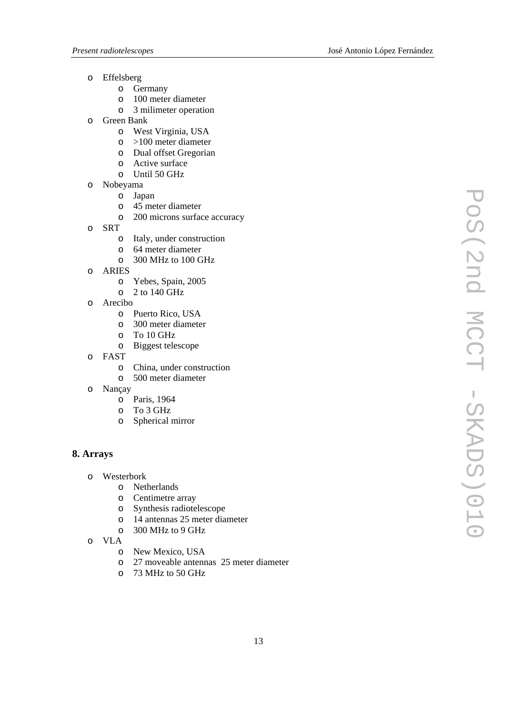- o Effelsberg
	- o Germany
	- o 100 meter diameter
	- o 3 milimeter operation
- o Green Bank
	- o West Virginia, USA
	- o >100 meter diameter
	- o Dual offset Gregorian
	- o Active surface
	- o Until 50 GHz
- o Nobeyama
	- o Japan
	- o 45 meter diameter
	- o 200 microns surface accuracy
- o SRT
	- o Italy, under construction
	- o 64 meter diameter
	- o 300 MHz to 100 GHz
- o ARIES
	- o Yebes, Spain, 2005
	- o 2 to 140 GHz
- o Arecibo
	- o Puerto Rico, USA
	- o 300 meter diameter
	- o To 10 GHz
	- o Biggest telescope
- o FAST
	- o China, under construction
	- o 500 meter diameter
- o Nançay
	- o Paris, 1964
	- o To 3 GHz
	- o Spherical mirror

# **8. Arrays**

- o Westerbork
	- o Netherlands
	- o Centimetre array
	- o Synthesis radiotelescope
	- o 14 antennas 25 meter diameter
	- o 300 MHz to 9 GHz
- o VLA
	- o New Mexico, USA<br>o 27 moveable antent
	- 27 moveable antennas 25 meter diameter
	- o 73 MHz to 50 GHz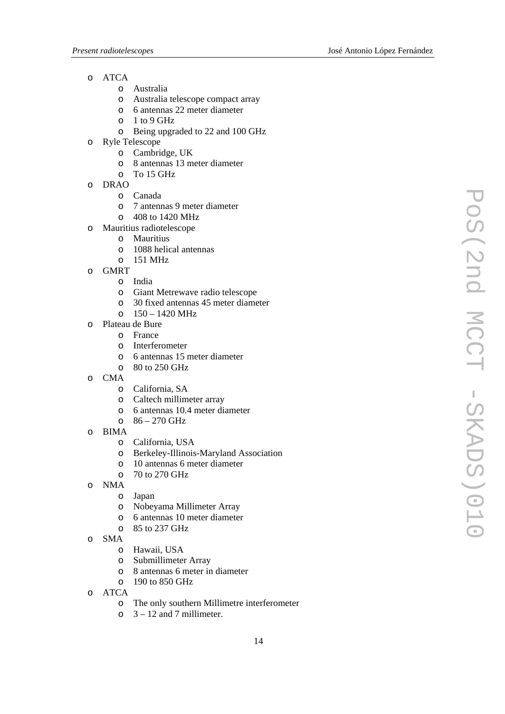- o ATCA
	- o Australia
	- o Australia telescope compact array
	- o 6 antennas 22 meter diameter
	- $O = 1$  to 9 GHz
	- o Being upgraded to 22 and 100 GHz
- o Ryle Telescope
	- o Cambridge, UK
	- o 8 antennas 13 meter diameter
	- $O$  To 15 GHz
- o DRAO
	- o Canada
	- o 7 antennas 9 meter diameter
	- o 408 to 1420 MHz
- o Mauritius radiotelescope
	- o Mauritius
	- o 1088 helical antennas
	- o 151 MHz
- o GMRT
	- o India
	- o Giant Metrewave radio telescope
	- o 30 fixed antennas 45 meter diameter
	- $O = 150 1420$  MHz
- o Plateau de Bure
	- o France
	- o Interferometer
	- o 6 antennas 15 meter diameter
	- $\circ$  80 to 250 GHz
- o CMA
	- o California, SA
	- o Caltech millimeter array
	- o 6 antennas 10.4 meter diameter
	- $0.86 270$  GHz
- o BIMA
	- o California, USA
	- o Berkeley-Illinois-Maryland Association
	- o 10 antennas 6 meter diameter
	- o 70 to 270 GHz
- o NMA
	- o Japan
	- o Nobeyama Millimeter Array
	- o 6 antennas 10 meter diameter
	- o 85 to 237 GHz
- o SMA
	- o Hawaii, USA
	- o Submillimeter Array
	- o 8 antennas 6 meter in diameter
	- o 190 to 850 GHz
- o ATCA
	- o The only southern Millimetre interferometer
	- $\circ$  3 12 and 7 millimeter.